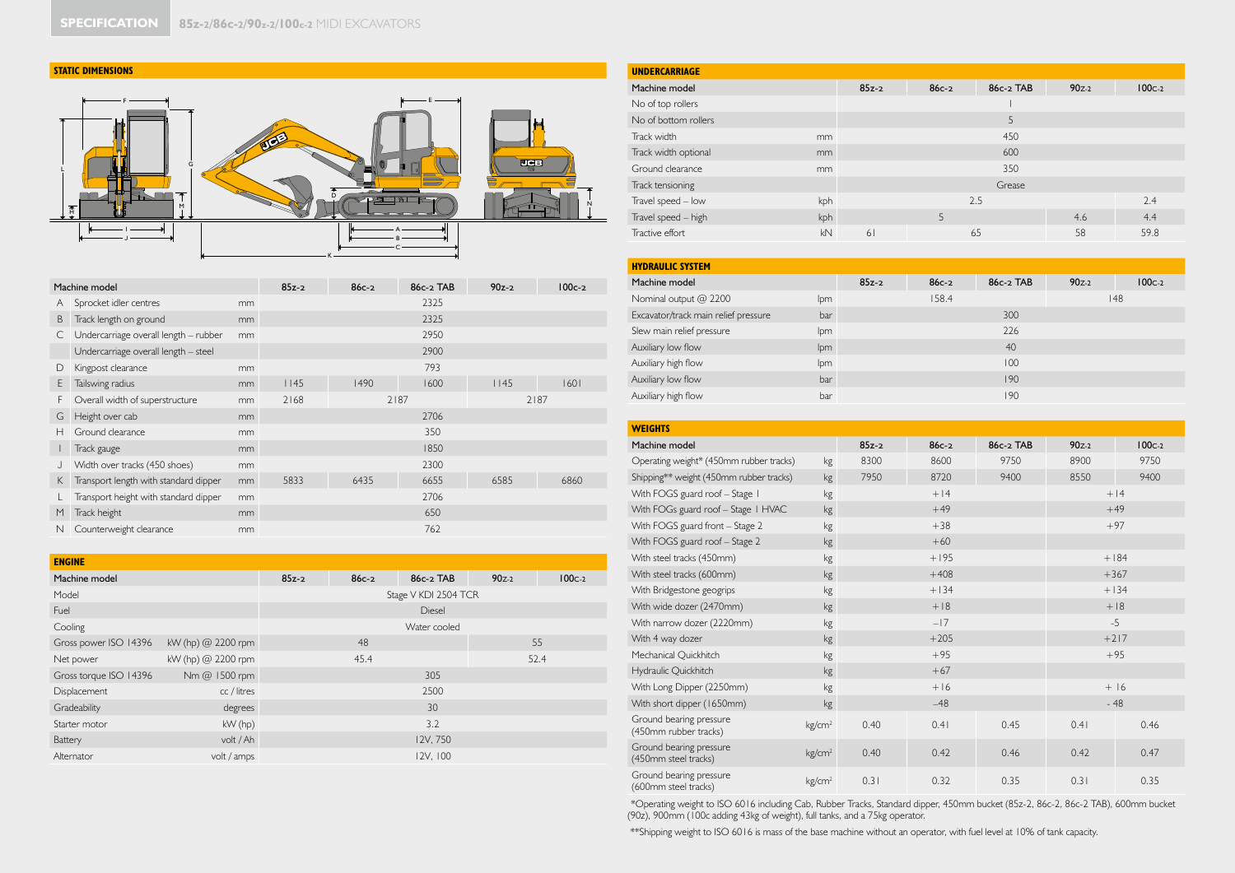#### **STATIC DIMENSIONS**



|   | Machine model                         |    | $85z-2$ | $86c - 2$ | 86c-2 TAB | $90z-2$ | $100c-2$ |
|---|---------------------------------------|----|---------|-----------|-----------|---------|----------|
| A | Sprocket idler centres                | mm |         |           | 2325      |         |          |
| B | Track length on ground                | mm |         |           | 2325      |         |          |
| С | Undercarriage overall length - rubber | mm |         |           | 2950      |         |          |
|   | Undercarriage overall length - steel  |    |         |           | 2900      |         |          |
| D | Kingpost clearance                    | mm |         |           | 793       |         |          |
| E | Tailswing radius                      | mm | 1145    | 1490      | 1600      | 1145    | 1601     |
| F | Overall width of superstructure       | mm | 2168    |           | 2187      |         | 2187     |
| G | Height over cab                       | mm |         |           | 2706      |         |          |
| н | Ground clearance                      | mm |         |           | 350       |         |          |
|   | Track gauge                           | mm |         |           | 1850      |         |          |
|   | Width over tracks (450 shoes)         | mm |         |           | 2300      |         |          |
| K | Transport length with standard dipper | mm | 5833    | 6435      | 6655      | 6585    | 6860     |
|   | Transport height with standard dipper | mm |         |           | 2706      |         |          |
| M | Track height                          | mm |         |           | 650       |         |          |
| N | Counterweight clearance               | mm |         |           | 762       |         |          |

| <b>ENGINE</b>          |                    |         |              |                      |           |            |  |
|------------------------|--------------------|---------|--------------|----------------------|-----------|------------|--|
| Machine model          |                    | $85z-2$ | $86c - 2$    | 86c-2 TAB            | $90z - 2$ | $100c - 2$ |  |
| Model                  |                    |         |              | Stage V KDI 2504 TCR |           |            |  |
| Fuel                   |                    |         | Diesel       |                      |           |            |  |
| Cooling                |                    |         | Water cooled |                      |           |            |  |
| Gross power ISO 14396  | kW (hp) @ 2200 rpm |         | 48           |                      |           | 55         |  |
| Net power              | kW (hp) @ 2200 rpm |         | 45.4         |                      |           | 52.4       |  |
| Gross torque ISO 14396 | Nm @ 1500 rpm      |         |              | 305                  |           |            |  |
| Displacement           | cc / litres        |         |              | 2500                 |           |            |  |
| Gradeability           | degrees            |         |              | 30                   |           |            |  |
| Starter motor          | $kW$ (hp)          |         |              | 3.2                  |           |            |  |
| Battery                | volt / Ah          |         |              | 12V, 750             |           |            |  |
| Alternator             | volt / amps        |         |              | 12V, 100             |           |            |  |

| <b>UNDERCARRIAGE</b>       |         |           |           |           |            |  |  |
|----------------------------|---------|-----------|-----------|-----------|------------|--|--|
| Machine model              | $85z-2$ | $86c - 2$ | 86c-2 TAB | $90z - 2$ | $100c - 2$ |  |  |
| No of top rollers          |         |           |           |           |            |  |  |
| No of bottom rollers       |         |           | 5         |           |            |  |  |
| Track width<br>mm          |         |           | 450       |           |            |  |  |
| Track width optional<br>mm |         |           | 600       |           |            |  |  |
| Ground clearance<br>mm     |         | 350       |           |           |            |  |  |
| Track tensioning           |         | Grease    |           |           |            |  |  |
| Travel speed - low<br>kph  |         |           | 2.5       |           | 2.4        |  |  |
| Travel speed - high<br>kph |         | 5         |           | 4.6       | 4.4        |  |  |
| Tractive effort<br>kN      | 61      |           | 65        | 58        | 59.8       |  |  |

| <b>HYDRAULIC SYSTEM</b>              |     |           |           |           |           |          |
|--------------------------------------|-----|-----------|-----------|-----------|-----------|----------|
| Machine model                        |     | $85z - 2$ | $86c - 2$ | 86c-2 TAB | $90z - 2$ | $100c-2$ |
| Nominal output @ 2200                | lpm |           | 158.4     |           |           | 148      |
| Excavator/track main relief pressure | bar |           |           | 300       |           |          |
| Slew main relief pressure            | lpm |           |           | 226       |           |          |
| Auxiliary low flow                   | lpm |           |           | 40        |           |          |
| Auxiliary high flow                  | lpm |           |           | 100       |           |          |
| Auxiliary low flow                   | bar |           |           | 190       |           |          |
| Auxiliary high flow                  | bar |           |           | 190       |           |          |

| <b>WEIGHTS</b>                                   |                    |         |         |           |           |          |  |  |
|--------------------------------------------------|--------------------|---------|---------|-----------|-----------|----------|--|--|
| Machine model                                    |                    | $85z-2$ | $86c-2$ | 86c-2 TAB | $90z - 2$ | $100c-2$ |  |  |
| Operating weight* (450mm rubber tracks)          | kg                 | 8300    | 8600    | 9750      | 8900      | 9750     |  |  |
| Shipping** weight (450mm rubber tracks)          | kg                 | 7950    | 8720    | 9400      | 8550      | 9400     |  |  |
| With FOGS guard roof - Stage I                   | kg                 |         | $+14$   |           |           | $+14$    |  |  |
| With FOGs guard roof - Stage I HVAC              | kg                 |         | $+49$   |           |           | $+49$    |  |  |
| With FOGS guard front - Stage 2                  | kg                 |         | $+38$   |           |           | $+97$    |  |  |
| With FOGS guard roof - Stage 2                   | kg                 |         | $+60$   |           |           |          |  |  |
| With steel tracks (450mm)                        | kg                 |         | $+195$  |           |           | $+184$   |  |  |
| With steel tracks (600mm)                        | kg                 |         | $+408$  |           | $+367$    |          |  |  |
| With Bridgestone geogrips                        | kg                 |         | $+134$  |           |           | $+134$   |  |  |
| With wide dozer (2470mm)                         | kg                 |         | $+18$   |           | $+18$     |          |  |  |
| With narrow dozer (2220mm)                       | kg                 |         | $-17$   |           | $-5$      |          |  |  |
| With 4 way dozer                                 | kg                 |         | $+205$  |           | $+217$    |          |  |  |
| Mechanical Quickhitch                            | kg                 |         | $+95$   |           | $+95$     |          |  |  |
| Hydraulic Quickhitch                             | kg                 |         | $+67$   |           |           |          |  |  |
| With Long Dipper (2250mm)                        | kg                 |         | $+16$   |           | $+16$     |          |  |  |
| With short dipper (1650mm)                       | kg                 |         | $-48$   |           |           | $-48$    |  |  |
| Ground bearing pressure<br>(450mm rubber tracks) | kg/cm <sup>2</sup> | 0.40    | 0.41    | 0.45      | 0.41      | 0.46     |  |  |
| Ground bearing pressure<br>(450mm steel tracks)  | kg/cm <sup>2</sup> | 0.40    | 0.42    | 0.46      | 0.42      | 0.47     |  |  |
| Ground bearing pressure<br>(600mm steel tracks)  | kg/cm <sup>2</sup> | 0.31    | 0.32    | 0.35      | 0.31      | 0.35     |  |  |

\*Operating weight to ISO 6016 including Cab, Rubber Tracks, Standard dipper, 450mm bucket (85z-2, 86c-2, 86c-2 TAB), 600mm bucket (90z), 900mm (100c adding 43kg of weight), full tanks, and a 75kg operator.

\*\*Shipping weight to ISO 6016 is mass of the base machine without an operator, with fuel level at 10% of tank capacity.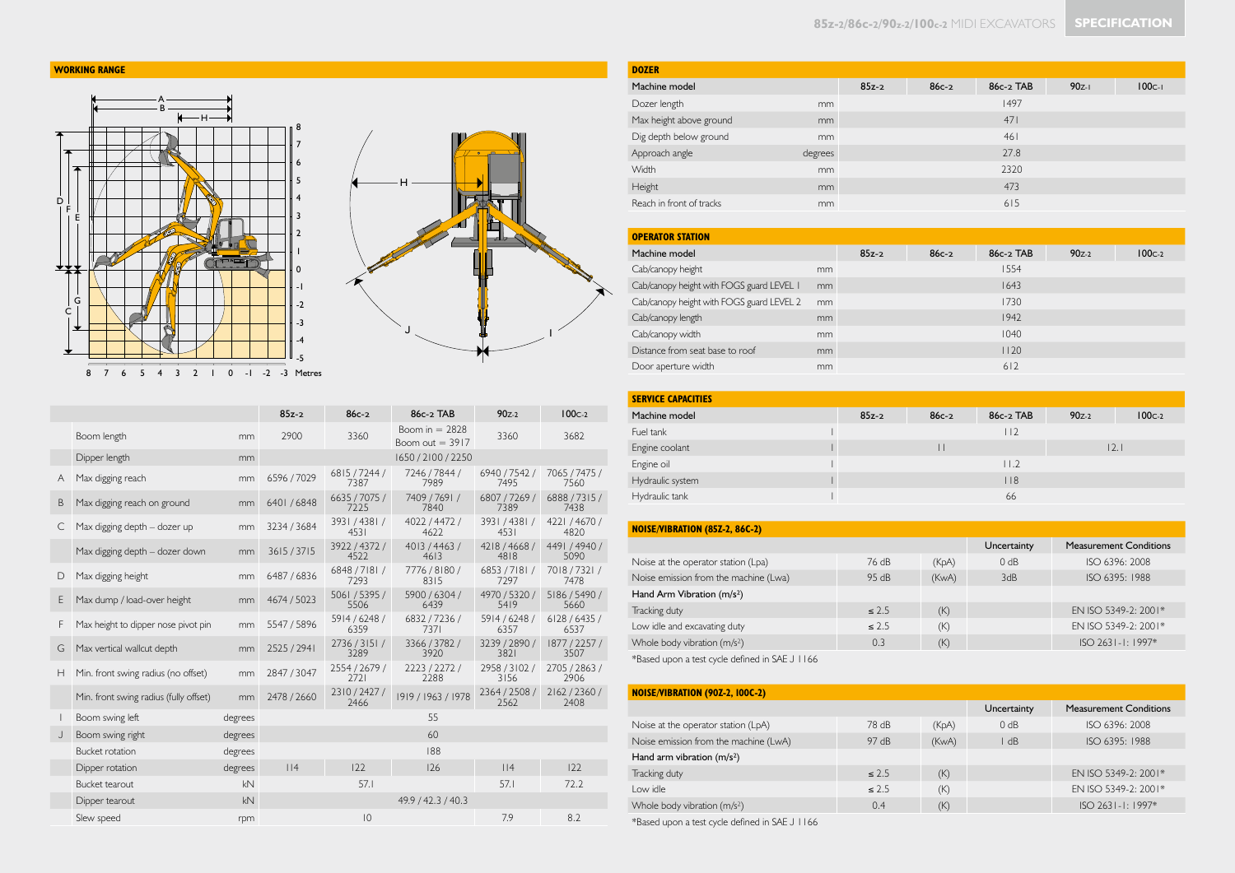# **WORKING RANGE**





|                |                                        |         | $85z-2$            | $86c-2$                   | 86c-2 TAB                             | $90z - 2$             | $100c-2$              |
|----------------|----------------------------------------|---------|--------------------|---------------------------|---------------------------------------|-----------------------|-----------------------|
|                | Boom length                            | mm      | 2900               | 3360                      | Boom in $= 2828$<br>Boom out $=$ 3917 | 3360                  | 3682                  |
|                | Dipper length                          | mm      |                    |                           | 1650 / 2100 / 2250                    |                       |                       |
| A              | Max digging reach                      | mm      | 6596 / 7029        | 6815/7244/<br>7387        | 7246 / 7844 /<br>7989                 | 6940 / 7542 /<br>7495 | 7065 / 7475 /<br>7560 |
| B              | Max digging reach on ground            | mm      | 6401/6848          | 6635 / 7075 /<br>7225     | 7409 / 769   /<br>7840                | 6807 / 7269 /<br>7389 | 6888 / 7315 /<br>7438 |
| C.             | Max digging depth - dozer up           | mm      | 3234/3684          | 3931 / 4381 /<br>4531     | 4022/4472/<br>4622                    | 3931/4381/<br>4531    | 4221 / 4670 /<br>4820 |
|                | Max digging depth - dozer down         | mm      | 3615/3715          | 3922/4372/<br>4522        | 4013 / 4463 /<br>4613                 | 4218/4668/<br>4818    | 4491 / 4940 /<br>5090 |
| D              | Max digging height                     | mm      | 6487 / 6836        | 6848/7181/<br>7293        | 7776 / 8180 /<br>8315                 | 6853 / 7181 /<br>7297 | 7018 / 7321 /<br>7478 |
| E              | Max dump / load-over height            | mm      | 4674 / 5023        | 5061 / 5395 /<br>5506     | 5900 / 6304 /<br>6439                 | 4970 / 5320 /<br>5419 | 5186 / 5490 /<br>5660 |
| F              | Max height to dipper nose pivot pin    | mm      | 5547 / 5896        | 5914/6248/<br>6359        | 6832/7236/<br>7371                    | 5914/6248/<br>6357    | 6128/6435/<br>6537    |
| G              | Max vertical wallcut depth             | mm      | 2525 / 2941        | 2736/3151/<br>3289        | 3366 / 3782 /<br>3920                 | 3239 / 2890 /<br>3821 | 1877 / 2257 /<br>3507 |
| H              | Min. front swing radius (no offset)    | mm      | 2847 / 3047        | 2554 / 2679 /<br>2721     | 2223/2272/<br>2288                    | 2958 / 3102 /<br>3156 | 2705 / 2863 /<br>2906 |
|                | Min. front swing radius (fully offset) | mm      | 2478 / 2660        | 2310/2427/<br>2466        | 1919 / 1963 / 1978                    | 2364 / 2508 /<br>2562 | 2162/2360/<br>2408    |
|                | Boom swing left                        | degrees |                    |                           | 55                                    |                       |                       |
| $\mathbf{I}$ . | Boom swing right                       | degrees | 60                 |                           |                                       |                       |                       |
|                | <b>Bucket rotation</b>                 | degrees | 188                |                           |                                       |                       |                       |
|                | Dipper rotation                        | degrees | $ $  4             | 122                       | 126                                   | 114                   | 122                   |
|                | Bucket tearout                         | kN      |                    | 57.1                      |                                       | 57.1                  | 72.2                  |
|                | Dipper tearout                         | kN      | 49.9 / 42.3 / 40.3 |                           |                                       |                       |                       |
|                | Slew speed                             | rpm     |                    | $ 0\rangle$<br>7.9<br>8.2 |                                       |                       |                       |

| <b>DOZER</b>                              |         |         |                 |             |           |                               |
|-------------------------------------------|---------|---------|-----------------|-------------|-----------|-------------------------------|
| Machine model                             |         | $85z-2$ | $86c - 2$       | 86c-2 TAB   | $90z-1$   | $100c-1$                      |
| Dozer length                              | mm      |         |                 | 1497        |           |                               |
| Max height above ground                   | mm      |         |                 | 471         |           |                               |
| Dig depth below ground                    | mm      |         |                 | 461         |           |                               |
| Approach angle                            | degrees |         |                 | 27.8        |           |                               |
| Width                                     | mm      |         |                 | 2320        |           |                               |
| Height                                    | mm      |         |                 | 473         |           |                               |
| Reach in front of tracks                  | mm      |         |                 | 615         |           |                               |
|                                           |         |         |                 |             |           |                               |
| <b>OPERATOR STATION</b>                   |         |         |                 |             |           |                               |
| Machine model                             |         | $85z-2$ | $86c-2$         | 86c-2 TAB   | $90z - 2$ | $100c-2$                      |
| Cab/canopy height                         | mm      |         |                 | 1554        |           |                               |
| Cab/canopy height with FOGS guard LEVEL I | mm      |         |                 | 1643        |           |                               |
| Cab/canopy height with FOGS guard LEVEL 2 | mm      |         |                 | 1730        |           |                               |
| Cab/canopy length                         | mm      |         |                 | 1942        |           |                               |
| Cab/canopy width                          | mm      |         |                 | 1040        |           |                               |
| Distance from seat base to roof           | mm      |         |                 | 1120        |           |                               |
| Door aperture width                       | mm      |         |                 | 612         |           |                               |
|                                           |         |         |                 |             |           |                               |
| <b>SERVICE CAPACITIES</b>                 |         |         |                 |             |           |                               |
| Machine model                             |         | $85z-2$ | $86c-2$         | 86c-2 TAB   | $90z - 2$ | $100c-2$                      |
| Fuel tank                                 |         |         |                 | 112         |           |                               |
| Engine coolant                            |         |         | $\vert \ \vert$ |             |           | 2.1                           |
| Engine oil                                |         |         |                 | 11.2        |           |                               |
| Hydraulic system                          | L       |         |                 | $ $   8     |           |                               |
| Hydraulic tank                            |         |         |                 | 66          |           |                               |
|                                           |         |         |                 |             |           |                               |
| NOISE/VIBRATION (85Z-2, 86C-2)            |         |         |                 |             |           |                               |
|                                           |         |         |                 | Uncertainty |           | <b>Measurement Conditions</b> |
| Noise at the operator station (Lpa)       |         | 76 dB   | (KpA)           | 0 dB        |           | ISO 6396: 2008                |

| Noise at the operator station (Lpa)      | 76 dB      | (KpA) | $0$ dB | ISO 6396: 2008       |
|------------------------------------------|------------|-------|--------|----------------------|
| Noise emission from the machine (Lwa)    | 95 dB      | (KwA) | 3dB    | ISO 6395: 1988       |
| Hand Arm Vibration (m/s <sup>2</sup> )   |            |       |        |                      |
| Tracking duty                            | $\leq 2.5$ | (K)   |        | EN ISO 5349-2: 2001* |
| Low idle and excavating duty             | $\leq 2.5$ | (K)   |        | EN ISO 5349-2: 2001* |
| Whole body vibration (m/s <sup>2</sup> ) | 0.3        | (K)   |        | $ISO$ 2631-1: 1997*  |
|                                          |            |       |        |                      |

\*Based upon a test cycle defined in SAE J 1166

| <b>NOISE/VIBRATION (90Z-2, 100C-2)</b>   |            |       |             |                               |  |  |
|------------------------------------------|------------|-------|-------------|-------------------------------|--|--|
|                                          |            |       | Uncertainty | <b>Measurement Conditions</b> |  |  |
| Noise at the operator station (LpA)      | 78 dB      | (KpA) | 0 dB        | ISO 6396: 2008                |  |  |
| Noise emission from the machine (LwA)    | 97 $dB$    | (KwA) | l dB        | ISO 6395: 1988                |  |  |
| Hand arm vibration $(m/s2)$              |            |       |             |                               |  |  |
| Tracking duty                            | $\leq 2.5$ | (K)   |             | EN ISO 5349-2: 2001*          |  |  |
| I ow idle                                | $\leq 2.5$ | (K)   |             | EN ISO 5349-2: 2001*          |  |  |
| Whole body vibration (m/s <sup>2</sup> ) | 0.4        | (K)   |             | ISO 2631-1: 1997*             |  |  |

\*Based upon a test cycle defined in SAE J 1166